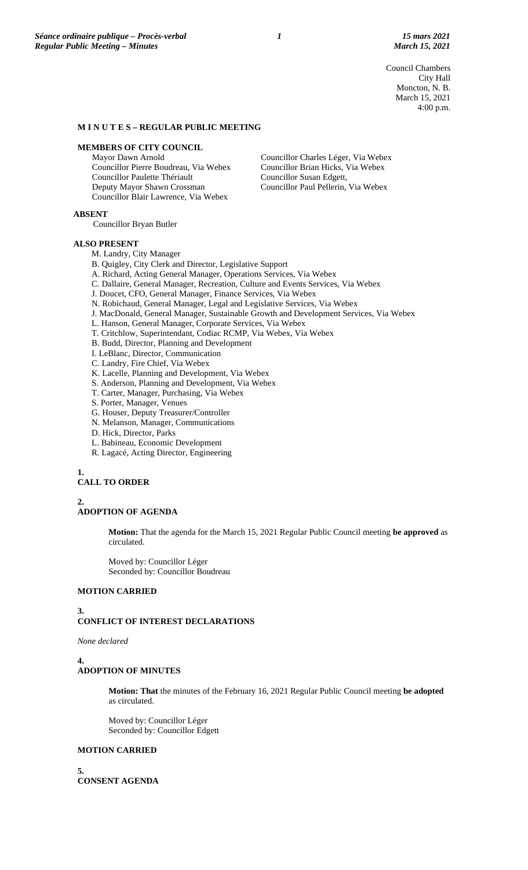Council Chambers City Hall Moncton, N. B. March 15, 2021 4:00 p.m.

#### **M I N U T E S – REGULAR PUBLIC MEETING**

# **MEMBERS OF CITY COUNCIL**

Mayor Dawn Arnold Councillor Pierre Boudreau, Via Webex Councillor Paulette Thériault Deputy Mayor Shawn Crossman Councillor Blair Lawrence, Via Webex

Councillor Charles Léger, Via Webex Councillor Brian Hicks, Via Webex Councillor Susan Edgett, Councillor Paul Pellerin, Via Webex

**ABSENT**

Councillor Bryan Butler

#### **ALSO PRESENT**

M. Landry, City Manager

- B. Quigley, City Clerk and Director, Legislative Support
- A. Richard, Acting General Manager, Operations Services, Via Webex
- C. Dallaire, General Manager, Recreation, Culture and Events Services, Via Webex
- J. Doucet, CFO, General Manager, Finance Services, Via Webex
- N. Robichaud, General Manager, Legal and Legislative Services, Via Webex
- J. MacDonald, General Manager, Sustainable Growth and Development Services, Via Webex
- L. Hanson, General Manager, Corporate Services, Via Webex
- T. Critchlow, Superintendant, Codiac RCMP, Via Webex, Via Webex
- B. Budd, Director, Planning and Development
- I. LeBlanc, Director, Communication
- C. Landry, Fire Chief, Via Webex
- K. Lacelle, Planning and Development, Via Webex
- S. Anderson, Planning and Development, Via Webex
- T. Carter, Manager, Purchasing, Via Webex
- S. Porter, Manager, Venues
- G. Houser, Deputy Treasurer/Controller
- N. Melanson, Manager, Communications
- D. Hick, Director, Parks
- L. Babineau, Economic Development
- R. Lagacé, Acting Director, Engineering

# **1.**

# **CALL TO ORDER**

**2. ADOPTION OF AGENDA**

> **Motion:** That the agenda for the March 15, 2021 Regular Public Council meeting **be approved** as circulated.

Moved by: Councillor Léger Seconded by: Councillor Boudreau

#### **MOTION CARRIED**

#### **3. CONFLICT OF INTEREST DECLARATIONS**

*None declared*

#### **4. ADOPTION OF MINUTES**

**Motion: That** the minutes of the February 16, 2021 Regular Public Council meeting **be adopted** as circulated.

Moved by: Councillor Léger Seconded by: Councillor Edgett

#### **MOTION CARRIED**

**5. CONSENT AGENDA**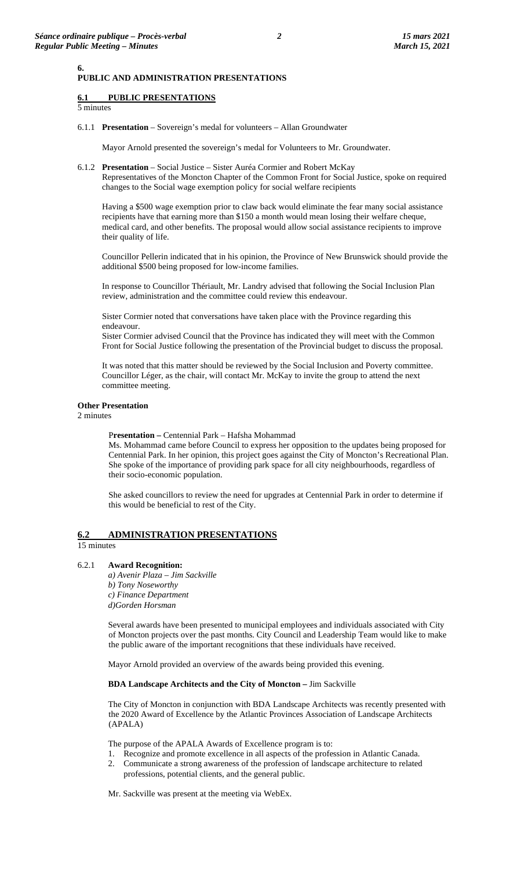#### **PUBLIC AND ADMINISTRATION PRESENTATIONS**

# **6.1 PUBLIC PRESENTATIONS**

5 minutes

**6.**

6.1.1 **Presentation** – Sovereign's medal for volunteers – Allan Groundwater

Mayor Arnold presented the sovereign's medal for Volunteers to Mr. Groundwater.

6.1.2 **Presentation** – Social Justice – Sister Auréa Cormier and Robert McKay Representatives of the Moncton Chapter of the Common Front for Social Justice, spoke on required changes to the Social wage exemption policy for social welfare recipients

Having a \$500 wage exemption prior to claw back would eliminate the fear many social assistance recipients have that earning more than \$150 a month would mean losing their welfare cheque, medical card, and other benefits. The proposal would allow social assistance recipients to improve their quality of life.

Councillor Pellerin indicated that in his opinion, the Province of New Brunswick should provide the additional \$500 being proposed for low-income families.

In response to Councillor Thériault, Mr. Landry advised that following the Social Inclusion Plan review, administration and the committee could review this endeavour.

Sister Cormier noted that conversations have taken place with the Province regarding this endeavour.

Sister Cormier advised Council that the Province has indicated they will meet with the Common Front for Social Justice following the presentation of the Provincial budget to discuss the proposal.

It was noted that this matter should be reviewed by the Social Inclusion and Poverty committee. Councillor Léger, as the chair, will contact Mr. McKay to invite the group to attend the next committee meeting.

#### **Other Presentation**

2 minutes

P**resentation –** Centennial Park – Hafsha Mohammad

Ms. Mohammad came before Council to express her opposition to the updates being proposed for Centennial Park. In her opinion, this project goes against the City of Moncton's Recreational Plan. She spoke of the importance of providing park space for all city neighbourhoods, regardless of their socio-economic population.

She asked councillors to review the need for upgrades at Centennial Park in order to determine if this would be beneficial to rest of the City.

# **6.2 ADMINISTRATION PRESENTATIONS**

15 minutes

6.2.1 **Award Recognition:**

*a) Avenir Plaza – Jim Sackville b) Tony Noseworthy c) Finance Department d)Gorden Horsman* 

Several awards have been presented to municipal employees and individuals associated with City of Moncton projects over the past months. City Council and Leadership Team would like to make the public aware of the important recognitions that these individuals have received.

Mayor Arnold provided an overview of the awards being provided this evening.

#### **BDA Landscape Architects and the City of Moncton –** Jim Sackville

The City of Moncton in conjunction with BDA Landscape Architects was recently presented with the 2020 Award of Excellence by the Atlantic Provinces Association of Landscape Architects (APALA)

The purpose of the APALA Awards of Excellence program is to:

- 1. Recognize and promote excellence in all aspects of the profession in Atlantic Canada.
- 2. Communicate a strong awareness of the profession of landscape architecture to related professions, potential clients, and the general public.

Mr. Sackville was present at the meeting via WebEx.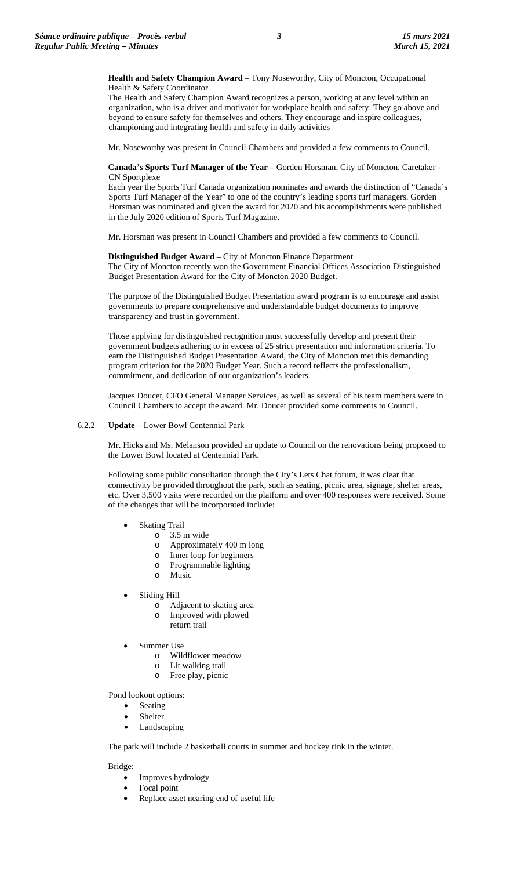**Health and Safety Champion Award** – Tony Noseworthy, City of Moncton, Occupational Health & Safety Coordinator

The Health and Safety Champion Award recognizes a person, working at any level within an organization, who is a driver and motivator for workplace health and safety. They go above and beyond to ensure safety for themselves and others. They encourage and inspire colleagues, championing and integrating health and safety in daily activities

Mr. Noseworthy was present in Council Chambers and provided a few comments to Council.

#### **Canada's Sports Turf Manager of the Year –** Gorden Horsman, City of Moncton, Caretaker - CN Sportplexe

Each year the Sports Turf Canada organization nominates and awards the distinction of "Canada's Sports Turf Manager of the Year" to one of the country's leading sports turf managers. Gorden Horsman was nominated and given the award for 2020 and his accomplishments were published in the July 2020 edition of Sports Turf Magazine.

Mr. Horsman was present in Council Chambers and provided a few comments to Council.

**Distinguished Budget Award** – City of Moncton Finance Department The City of Moncton recently won the Government Financial Offices Association Distinguished Budget Presentation Award for the City of Moncton 2020 Budget.

The purpose of the Distinguished Budget Presentation award program is to encourage and assist governments to prepare comprehensive and understandable budget documents to improve transparency and trust in government.

Those applying for distinguished recognition must successfully develop and present their government budgets adhering to in excess of 25 strict presentation and information criteria. To earn the Distinguished Budget Presentation Award, the City of Moncton met this demanding program criterion for the 2020 Budget Year. Such a record reflects the professionalism, commitment, and dedication of our organization's leaders.

Jacques Doucet, CFO General Manager Services, as well as several of his team members were in Council Chambers to accept the award. Mr. Doucet provided some comments to Council.

# 6.2.2 **Update –** Lower Bowl Centennial Park

Mr. Hicks and Ms. Melanson provided an update to Council on the renovations being proposed to the Lower Bowl located at Centennial Park.

Following some public consultation through the City's Lets Chat forum, it was clear that connectivity be provided throughout the park, such as seating, picnic area, signage, shelter areas, etc. Over 3,500 visits were recorded on the platform and over 400 responses were received. Some of the changes that will be incorporated include:

- **Skating Trail** 
	- o 3.5 m wide
	- o Approximately 400 m long
	- o Inner loop for beginners
	- o Programmable lighting
	- o Music
- Sliding Hill
	- o Adjacent to skating area
	- o Improved with plowed return trail
- Summer Use
	- o Wildflower meadow
	- o Lit walking trail
	- o Free play, picnic

Pond lookout options:

- Seating
- **Shelter**
- Landscaping

The park will include 2 basketball courts in summer and hockey rink in the winter.

Bridge:

- Improves hydrology
- Focal point
- Replace asset nearing end of useful life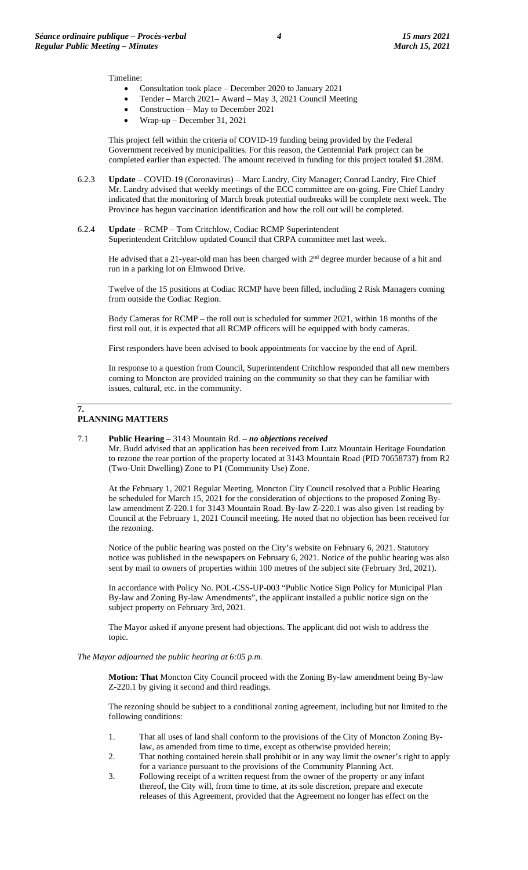Timeline:

- Consultation took place December 2020 to January 2021
- Tender March 2021– Award May 3, 2021 Council Meeting
- Construction May to December 2021
- Wrap-up December 31, 2021

This project fell within the criteria of COVID-19 funding being provided by the Federal Government received by municipalities. For this reason, the Centennial Park project can be completed earlier than expected. The amount received in funding for this project totaled \$1.28M.

- 6.2.3 **Update** COVID-19 (Coronavirus) Marc Landry, City Manager; Conrad Landry, Fire Chief Mr. Landry advised that weekly meetings of the ECC committee are on-going. Fire Chief Landry indicated that the monitoring of March break potential outbreaks will be complete next week. The Province has begun vaccination identification and how the roll out will be completed.
- 6.2.4 **Update** RCMP Tom Critchlow, Codiac RCMP Superintendent Superintendent Critchlow updated Council that CRPA committee met last week.

He advised that a 21-year-old man has been charged with 2<sup>nd</sup> degree murder because of a hit and run in a parking lot on Elmwood Drive.

Twelve of the 15 positions at Codiac RCMP have been filled, including 2 Risk Managers coming from outside the Codiac Region.

Body Cameras for RCMP – the roll out is scheduled for summer 2021, within 18 months of the first roll out, it is expected that all RCMP officers will be equipped with body cameras.

First responders have been advised to book appointments for vaccine by the end of April.

In response to a question from Council, Superintendent Critchlow responded that all new members coming to Moncton are provided training on the community so that they can be familiar with issues, cultural, etc. in the community.

#### **7. PLANNING MATTERS**

# 7.1 **Public Hearing** – 3143 Mountain Rd. – *no objections received*

Mr. Budd advised that an application has been received from Lutz Mountain Heritage Foundation to rezone the rear portion of the property located at 3143 Mountain Road (PID 70658737) from R2 (Two-Unit Dwelling) Zone to P1 (Community Use) Zone.

At the February 1, 2021 Regular Meeting, Moncton City Council resolved that a Public Hearing be scheduled for March 15, 2021 for the consideration of objections to the proposed Zoning Bylaw amendment Z-220.1 for 3143 Mountain Road. By-law Z-220.1 was also given 1st reading by Council at the February 1, 2021 Council meeting. He noted that no objection has been received for the rezoning.

Notice of the public hearing was posted on the City's website on February 6, 2021. Statutory notice was published in the newspapers on February 6, 2021. Notice of the public hearing was also sent by mail to owners of properties within 100 metres of the subject site (February 3rd, 2021).

In accordance with Policy No. POL-CSS-UP-003 "Public Notice Sign Policy for Municipal Plan By-law and Zoning By-law Amendments", the applicant installed a public notice sign on the subject property on February 3rd, 2021.

The Mayor asked if anyone present had objections. The applicant did not wish to address the topic.

#### *The Mayor adjourned the public hearing at 6:05 p.m.*

**Motion: That** Moncton City Council proceed with the Zoning By-law amendment being By-law Z-220.1 by giving it second and third readings.

The rezoning should be subject to a conditional zoning agreement, including but not limited to the following conditions:

- 1. That all uses of land shall conform to the provisions of the City of Moncton Zoning Bylaw, as amended from time to time, except as otherwise provided herein;
- 2. That nothing contained herein shall prohibit or in any way limit the owner's right to apply for a variance pursuant to the provisions of the Community Planning Act.
- 3. Following receipt of a written request from the owner of the property or any infant thereof, the City will, from time to time, at its sole discretion, prepare and execute releases of this Agreement, provided that the Agreement no longer has effect on the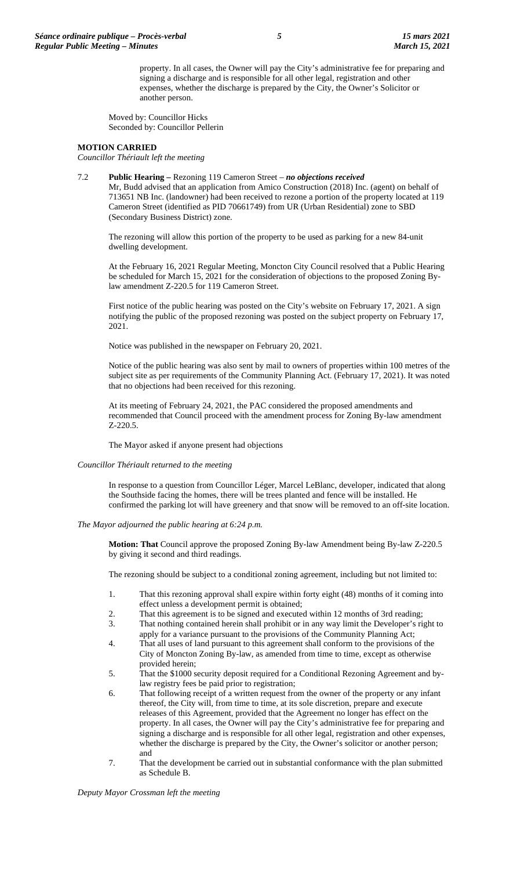property. In all cases, the Owner will pay the City's administrative fee for preparing and signing a discharge and is responsible for all other legal, registration and other expenses, whether the discharge is prepared by the City, the Owner's Solicitor or another person.

Moved by: Councillor Hicks Seconded by: Councillor Pellerin

#### **MOTION CARRIED**

*Councillor Thériault left the meeting*

#### 7.2 **Public Hearing –** Rezoning 119 Cameron Street – *no objections received*

Mr, Budd advised that an application from Amico Construction (2018) Inc. (agent) on behalf of 713651 NB Inc. (landowner) had been received to rezone a portion of the property located at 119 Cameron Street (identified as PID 70661749) from UR (Urban Residential) zone to SBD (Secondary Business District) zone.

The rezoning will allow this portion of the property to be used as parking for a new 84-unit dwelling development.

At the February 16, 2021 Regular Meeting, Moncton City Council resolved that a Public Hearing be scheduled for March 15, 2021 for the consideration of objections to the proposed Zoning Bylaw amendment Z-220.5 for 119 Cameron Street.

First notice of the public hearing was posted on the City's website on February 17, 2021. A sign notifying the public of the proposed rezoning was posted on the subject property on February 17, 2021.

Notice was published in the newspaper on February 20, 2021.

Notice of the public hearing was also sent by mail to owners of properties within 100 metres of the subject site as per requirements of the Community Planning Act. (February 17, 2021). It was noted that no objections had been received for this rezoning.

At its meeting of February 24, 2021, the PAC considered the proposed amendments and recommended that Council proceed with the amendment process for Zoning By-law amendment Z-220.5.

The Mayor asked if anyone present had objections

#### *Councillor Thériault returned to the meeting*

In response to a question from Councillor Léger, Marcel LeBlanc, developer, indicated that along the Southside facing the homes, there will be trees planted and fence will be installed. He confirmed the parking lot will have greenery and that snow will be removed to an off-site location.

*The Mayor adjourned the public hearing at 6:24 p.m.*

**Motion: That** Council approve the proposed Zoning By-law Amendment being By-law Z-220.5 by giving it second and third readings.

The rezoning should be subject to a conditional zoning agreement, including but not limited to:

- 1. That this rezoning approval shall expire within forty eight (48) months of it coming into effect unless a development permit is obtained;
- 2. That this agreement is to be signed and executed within 12 months of 3rd reading;<br>That nothing contained herein shall prohibit or in any way limit the Developer's ri
- That nothing contained herein shall prohibit or in any way limit the Developer's right to apply for a variance pursuant to the provisions of the Community Planning Act;
- 4. That all uses of land pursuant to this agreement shall conform to the provisions of the City of Moncton Zoning By-law, as amended from time to time, except as otherwise provided herein;
- 5. That the \$1000 security deposit required for a Conditional Rezoning Agreement and bylaw registry fees be paid prior to registration;
- 6. That following receipt of a written request from the owner of the property or any infant thereof, the City will, from time to time, at its sole discretion, prepare and execute releases of this Agreement, provided that the Agreement no longer has effect on the property. In all cases, the Owner will pay the City's administrative fee for preparing and signing a discharge and is responsible for all other legal, registration and other expenses, whether the discharge is prepared by the City, the Owner's solicitor or another person; and
- 7. That the development be carried out in substantial conformance with the plan submitted as Schedule B.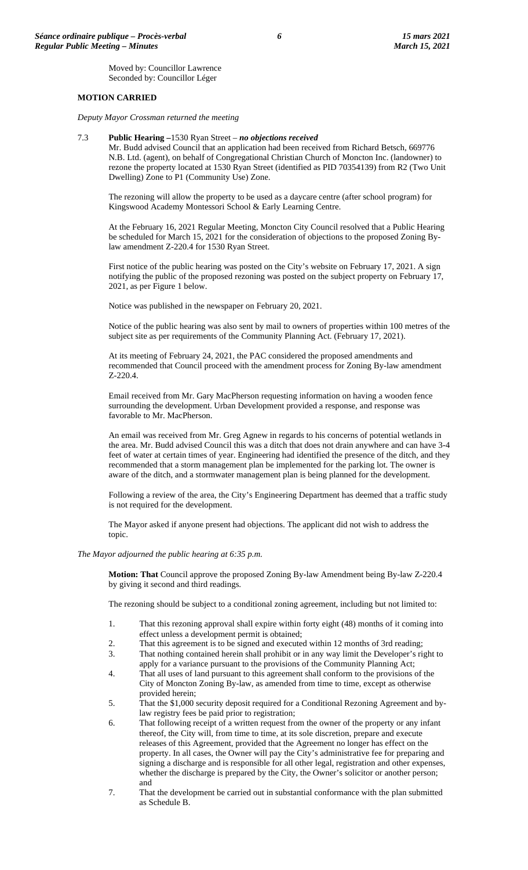Moved by: Councillor Lawrence Seconded by: Councillor Léger

# **MOTION CARRIED**

*Deputy Mayor Crossman returned the meeting*

#### 7.3 **Public Hearing –**1530 Ryan Street – *no objections received*

Mr. Budd advised Council that an application had been received from Richard Betsch, 669776 N.B. Ltd. (agent), on behalf of Congregational Christian Church of Moncton Inc. (landowner) to rezone the property located at 1530 Ryan Street (identified as PID 70354139) from R2 (Two Unit Dwelling) Zone to P1 (Community Use) Zone.

The rezoning will allow the property to be used as a daycare centre (after school program) for Kingswood Academy Montessori School & Early Learning Centre.

At the February 16, 2021 Regular Meeting, Moncton City Council resolved that a Public Hearing be scheduled for March 15, 2021 for the consideration of objections to the proposed Zoning Bylaw amendment Z-220.4 for 1530 Ryan Street.

First notice of the public hearing was posted on the City's website on February 17, 2021. A sign notifying the public of the proposed rezoning was posted on the subject property on February 17, 2021, as per Figure 1 below.

Notice was published in the newspaper on February 20, 2021.

Notice of the public hearing was also sent by mail to owners of properties within 100 metres of the subject site as per requirements of the Community Planning Act. (February 17, 2021).

At its meeting of February 24, 2021, the PAC considered the proposed amendments and recommended that Council proceed with the amendment process for Zoning By-law amendment Z-220.4.

Email received from Mr. Gary MacPherson requesting information on having a wooden fence surrounding the development. Urban Development provided a response, and response was favorable to Mr. MacPherson.

An email was received from Mr. Greg Agnew in regards to his concerns of potential wetlands in the area. Mr. Budd advised Council this was a ditch that does not drain anywhere and can have 3-4 feet of water at certain times of year. Engineering had identified the presence of the ditch, and they recommended that a storm management plan be implemented for the parking lot. The owner is aware of the ditch, and a stormwater management plan is being planned for the development.

Following a review of the area, the City's Engineering Department has deemed that a traffic study is not required for the development.

The Mayor asked if anyone present had objections. The applicant did not wish to address the topic.

*The Mayor adjourned the public hearing at 6:35 p.m.*

**Motion: That** Council approve the proposed Zoning By-law Amendment being By-law Z-220.4 by giving it second and third readings.

The rezoning should be subject to a conditional zoning agreement, including but not limited to:

- 1. That this rezoning approval shall expire within forty eight (48) months of it coming into effect unless a development permit is obtained;
- 2. That this agreement is to be signed and executed within 12 months of 3rd reading;<br>3. That nothing contained herein shall prohibit or in any way limit the Developer's ri
- That nothing contained herein shall prohibit or in any way limit the Developer's right to apply for a variance pursuant to the provisions of the Community Planning Act;
- 4. That all uses of land pursuant to this agreement shall conform to the provisions of the City of Moncton Zoning By-law, as amended from time to time, except as otherwise provided herein;
- 5. That the \$1,000 security deposit required for a Conditional Rezoning Agreement and bylaw registry fees be paid prior to registration;
- 6. That following receipt of a written request from the owner of the property or any infant thereof, the City will, from time to time, at its sole discretion, prepare and execute releases of this Agreement, provided that the Agreement no longer has effect on the property. In all cases, the Owner will pay the City's administrative fee for preparing and signing a discharge and is responsible for all other legal, registration and other expenses, whether the discharge is prepared by the City, the Owner's solicitor or another person; and
- 7. That the development be carried out in substantial conformance with the plan submitted as Schedule B.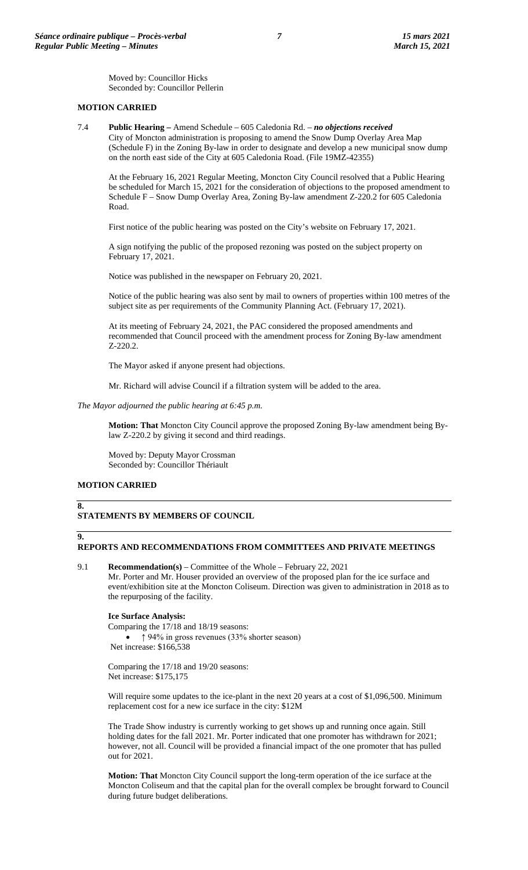Moved by: Councillor Hicks Seconded by: Councillor Pellerin

# **MOTION CARRIED**

7.4 **Public Hearing –** Amend Schedule – 605 Caledonia Rd. – *no objections received* City of Moncton administration is proposing to amend the Snow Dump Overlay Area Map (Schedule F) in the Zoning By-law in order to designate and develop a new municipal snow dump on the north east side of the City at 605 Caledonia Road. (File 19MZ-42355)

At the February 16, 2021 Regular Meeting, Moncton City Council resolved that a Public Hearing be scheduled for March 15, 2021 for the consideration of objections to the proposed amendment to Schedule F – Snow Dump Overlay Area, Zoning By-law amendment Z-220.2 for 605 Caledonia Road.

First notice of the public hearing was posted on the City's website on February 17, 2021.

A sign notifying the public of the proposed rezoning was posted on the subject property on February 17, 2021.

Notice was published in the newspaper on February 20, 2021.

Notice of the public hearing was also sent by mail to owners of properties within 100 metres of the subject site as per requirements of the Community Planning Act. (February 17, 2021).

At its meeting of February 24, 2021, the PAC considered the proposed amendments and recommended that Council proceed with the amendment process for Zoning By-law amendment Z-220.2.

The Mayor asked if anyone present had objections.

Mr. Richard will advise Council if a filtration system will be added to the area.

*The Mayor adjourned the public hearing at 6:45 p.m.*

**Motion: That** Moncton City Council approve the proposed Zoning By-law amendment being Bylaw Z-220.2 by giving it second and third readings.

Moved by: Deputy Mayor Crossman Seconded by: Councillor Thériault

# **MOTION CARRIED**

# **8.**

# **STATEMENTS BY MEMBERS OF COUNCIL**

#### **9. REPORTS AND RECOMMENDATIONS FROM COMMITTEES AND PRIVATE MEETINGS**

9.1 **Recommendation(s)** – Committee of the Whole – February 22, 2021 Mr. Porter and Mr. Houser provided an overview of the proposed plan for the ice surface and event/exhibition site at the Moncton Coliseum. Direction was given to administration in 2018 as to the repurposing of the facility.

# **Ice Surface Analysis:**

Comparing the 17/18 and 18/19 seasons: • ↑ 94% in gross revenues (33% shorter season) Net increase: \$166,538

Comparing the 17/18 and 19/20 seasons: Net increase: \$175,175

Will require some updates to the ice-plant in the next 20 years at a cost of \$1,096,500. Minimum replacement cost for a new ice surface in the city: \$12M

The Trade Show industry is currently working to get shows up and running once again. Still holding dates for the fall 2021. Mr. Porter indicated that one promoter has withdrawn for 2021; however, not all. Council will be provided a financial impact of the one promoter that has pulled out for 2021.

**Motion: That** Moncton City Council support the long-term operation of the ice surface at the Moncton Coliseum and that the capital plan for the overall complex be brought forward to Council during future budget deliberations.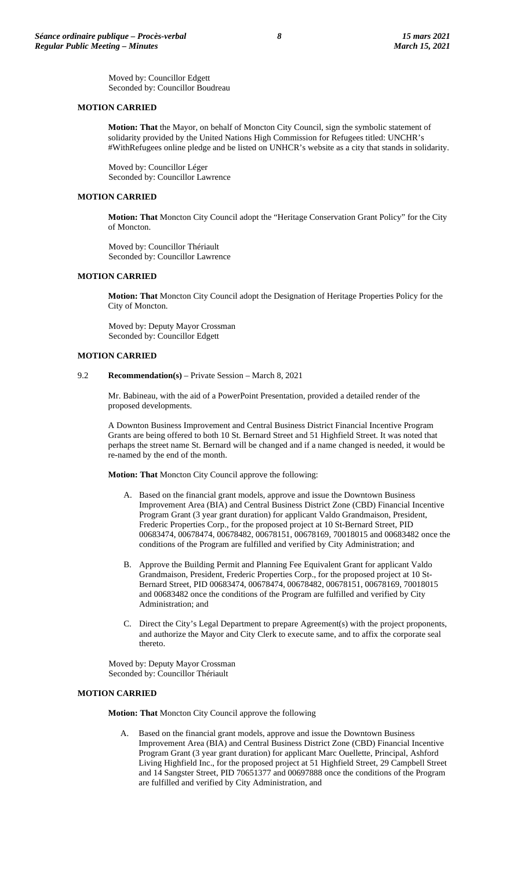Moved by: Councillor Edgett Seconded by: Councillor Boudreau

# **MOTION CARRIED**

**Motion: That** the Mayor, on behalf of Moncton City Council, sign the symbolic statement of solidarity provided by the United Nations High Commission for Refugees titled: UNCHR's #WithRefugees online pledge and be listed on UNHCR's website as a city that stands in solidarity.

Moved by: Councillor Léger Seconded by: Councillor Lawrence

# **MOTION CARRIED**

**Motion: That** Moncton City Council adopt the "Heritage Conservation Grant Policy" for the City of Moncton.

Moved by: Councillor Thériault Seconded by: Councillor Lawrence

#### **MOTION CARRIED**

**Motion: That** Moncton City Council adopt the Designation of Heritage Properties Policy for the City of Moncton.

Moved by: Deputy Mayor Crossman Seconded by: Councillor Edgett

# **MOTION CARRIED**

#### 9.2 **Recommendation(s)** – Private Session – March 8, 2021

Mr. Babineau, with the aid of a PowerPoint Presentation, provided a detailed render of the proposed developments.

A Downton Business Improvement and Central Business District Financial Incentive Program Grants are being offered to both 10 St. Bernard Street and 51 Highfield Street. It was noted that perhaps the street name St. Bernard will be changed and if a name changed is needed, it would be re-named by the end of the month.

**Motion: That** Moncton City Council approve the following:

- A. Based on the financial grant models, approve and issue the Downtown Business Improvement Area (BIA) and Central Business District Zone (CBD) Financial Incentive Program Grant (3 year grant duration) for applicant Valdo Grandmaison, President, Frederic Properties Corp., for the proposed project at 10 St-Bernard Street, PID 00683474, 00678474, 00678482, 00678151, 00678169, 70018015 and 00683482 once the conditions of the Program are fulfilled and verified by City Administration; and
- B. Approve the Building Permit and Planning Fee Equivalent Grant for applicant Valdo Grandmaison, President, Frederic Properties Corp., for the proposed project at 10 St-Bernard Street, PID 00683474, 00678474, 00678482, 00678151, 00678169, 70018015 and 00683482 once the conditions of the Program are fulfilled and verified by City Administration; and
- C. Direct the City's Legal Department to prepare Agreement(s) with the project proponents, and authorize the Mayor and City Clerk to execute same, and to affix the corporate seal thereto.

Moved by: Deputy Mayor Crossman Seconded by: Councillor Thériault

#### **MOTION CARRIED**

**Motion: That** Moncton City Council approve the following

A. Based on the financial grant models, approve and issue the Downtown Business Improvement Area (BIA) and Central Business District Zone (CBD) Financial Incentive Program Grant (3 year grant duration) for applicant Marc Ouellette, Principal, Ashford Living Highfield Inc., for the proposed project at 51 Highfield Street, 29 Campbell Street and 14 Sangster Street, PID 70651377 and 00697888 once the conditions of the Program are fulfilled and verified by City Administration, and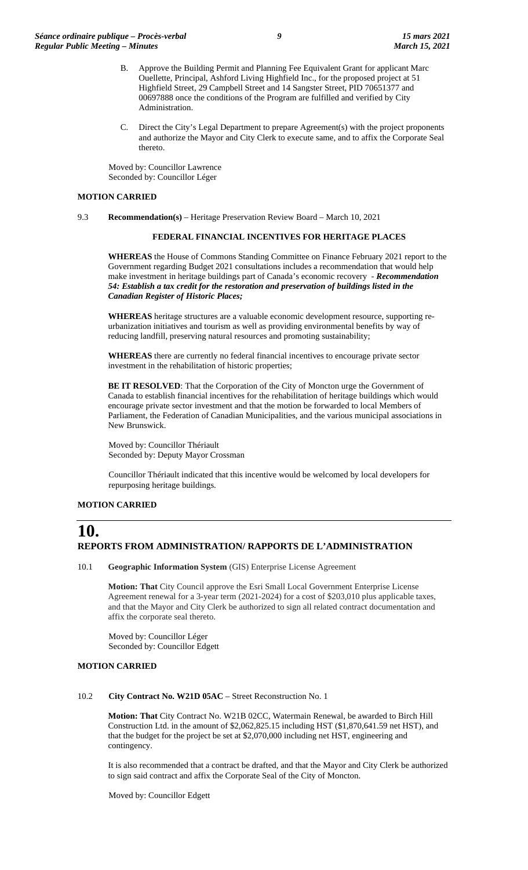- B. Approve the Building Permit and Planning Fee Equivalent Grant for applicant Marc Ouellette, Principal, Ashford Living Highfield Inc., for the proposed project at 51 Highfield Street, 29 Campbell Street and 14 Sangster Street, PID 70651377 and 00697888 once the conditions of the Program are fulfilled and verified by City Administration.
- C. Direct the City's Legal Department to prepare Agreement(s) with the project proponents and authorize the Mayor and City Clerk to execute same, and to affix the Corporate Seal thereto.

Moved by: Councillor Lawrence Seconded by: Councillor Léger

#### **MOTION CARRIED**

9.3 **Recommendation(s)** – Heritage Preservation Review Board – March 10, 2021

#### **FEDERAL FINANCIAL INCENTIVES FOR HERITAGE PLACES**

**WHEREAS** the House of Commons Standing Committee on Finance February 2021 report to the Government regarding Budget 2021 consultations includes a recommendation that would help make investment in heritage buildings part of Canada's economic recovery - *Recommendation 54: Establish a tax credit for the restoration and preservation of buildings listed in the Canadian Register of Historic Places;*

**WHEREAS** heritage structures are a valuable economic development resource, supporting reurbanization initiatives and tourism as well as providing environmental benefits by way of reducing landfill, preserving natural resources and promoting sustainability;

**WHEREAS** there are currently no federal financial incentives to encourage private sector investment in the rehabilitation of historic properties;

**BE IT RESOLVED**: That the Corporation of the City of Moncton urge the Government of Canada to establish financial incentives for the rehabilitation of heritage buildings which would encourage private sector investment and that the motion be forwarded to local Members of Parliament, the Federation of Canadian Municipalities, and the various municipal associations in New Brunswick.

Moved by: Councillor Thériault Seconded by: Deputy Mayor Crossman

Councillor Thériault indicated that this incentive would be welcomed by local developers for repurposing heritage buildings.

#### **MOTION CARRIED**

# **10. REPORTS FROM ADMINISTRATION/ RAPPORTS DE L'ADMINISTRATION**

10.1 **Geographic Information System** (GIS) Enterprise License Agreement

**Motion: That** City Council approve the Esri Small Local Government Enterprise License Agreement renewal for a 3-year term (2021-2024) for a cost of \$203,010 plus applicable taxes, and that the Mayor and City Clerk be authorized to sign all related contract documentation and affix the corporate seal thereto.

Moved by: Councillor Léger Seconded by: Councillor Edgett

#### **MOTION CARRIED**

#### 10.2 **City Contract No. W21D 05AC** – Street Reconstruction No. 1

**Motion: That** City Contract No. W21B 02CC, Watermain Renewal, be awarded to Birch Hill Construction Ltd. in the amount of \$2,062,825.15 including HST (\$1,870,641.59 net HST), and that the budget for the project be set at \$2,070,000 including net HST, engineering and contingency.

It is also recommended that a contract be drafted, and that the Mayor and City Clerk be authorized to sign said contract and affix the Corporate Seal of the City of Moncton.

Moved by: Councillor Edgett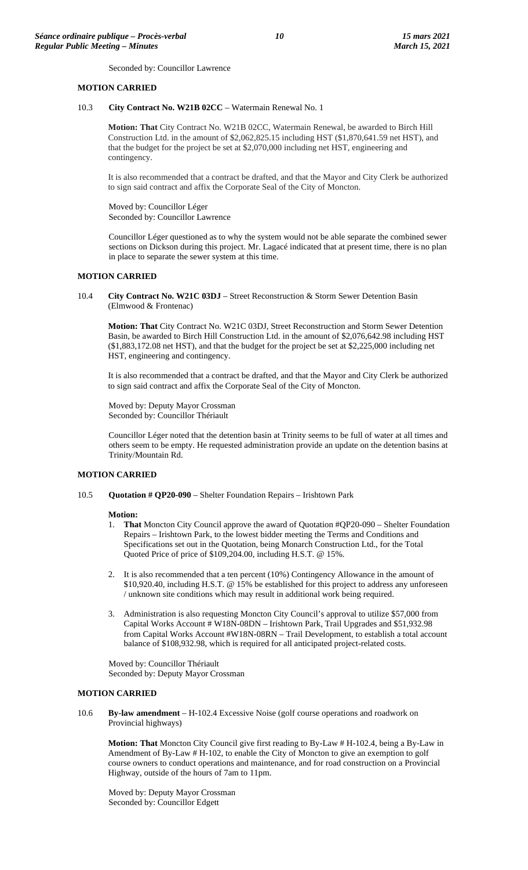Seconded by: Councillor Lawrence

#### **MOTION CARRIED**

10.3 **City Contract No. W21B 02CC** – Watermain Renewal No. 1

**Motion: That** City Contract No. W21B 02CC, Watermain Renewal, be awarded to Birch Hill Construction Ltd. in the amount of \$2,062,825.15 including HST (\$1,870,641.59 net HST), and that the budget for the project be set at \$2,070,000 including net HST, engineering and contingency.

It is also recommended that a contract be drafted, and that the Mayor and City Clerk be authorized to sign said contract and affix the Corporate Seal of the City of Moncton.

Moved by: Councillor Léger Seconded by: Councillor Lawrence

Councillor Léger questioned as to why the system would not be able separate the combined sewer sections on Dickson during this project. Mr. Lagacé indicated that at present time, there is no plan in place to separate the sewer system at this time.

#### **MOTION CARRIED**

10.4 **City Contract No. W21C 03DJ** – Street Reconstruction & Storm Sewer Detention Basin (Elmwood & Frontenac)

**Motion: That** City Contract No. W21C 03DJ, Street Reconstruction and Storm Sewer Detention Basin, be awarded to Birch Hill Construction Ltd. in the amount of \$2,076,642.98 including HST (\$1,883,172.08 net HST), and that the budget for the project be set at \$2,225,000 including net HST, engineering and contingency.

It is also recommended that a contract be drafted, and that the Mayor and City Clerk be authorized to sign said contract and affix the Corporate Seal of the City of Moncton.

Moved by: Deputy Mayor Crossman Seconded by: Councillor Thériault

Councillor Léger noted that the detention basin at Trinity seems to be full of water at all times and others seem to be empty. He requested administration provide an update on the detention basins at Trinity/Mountain Rd.

#### **MOTION CARRIED**

10.5 **Quotation # QP20-090** – Shelter Foundation Repairs – Irishtown Park

#### **Motion:**

- 1. **That** Moncton City Council approve the award of Quotation #QP20-090 Shelter Foundation Repairs – Irishtown Park, to the lowest bidder meeting the Terms and Conditions and Specifications set out in the Quotation, being Monarch Construction Ltd., for the Total Quoted Price of price of \$109,204.00, including H.S.T. @ 15%.
- 2. It is also recommended that a ten percent (10%) Contingency Allowance in the amount of \$10,920.40, including H.S.T. @ 15% be established for this project to address any unforeseen / unknown site conditions which may result in additional work being required.
- 3. Administration is also requesting Moncton City Council's approval to utilize \$57,000 from Capital Works Account # W18N-08DN – Irishtown Park, Trail Upgrades and \$51,932.98 from Capital Works Account #W18N-08RN – Trail Development, to establish a total account balance of \$108,932.98, which is required for all anticipated project-related costs.

Moved by: Councillor Thériault Seconded by: Deputy Mayor Crossman

#### **MOTION CARRIED**

10.6 **By-law amendment** – H-102.4 Excessive Noise (golf course operations and roadwork on Provincial highways)

**Motion: That** Moncton City Council give first reading to By-Law # H-102.4, being a By-Law in Amendment of By-Law # H-102, to enable the City of Moncton to give an exemption to golf course owners to conduct operations and maintenance, and for road construction on a Provincial Highway, outside of the hours of 7am to 11pm.

Moved by: Deputy Mayor Crossman Seconded by: Councillor Edgett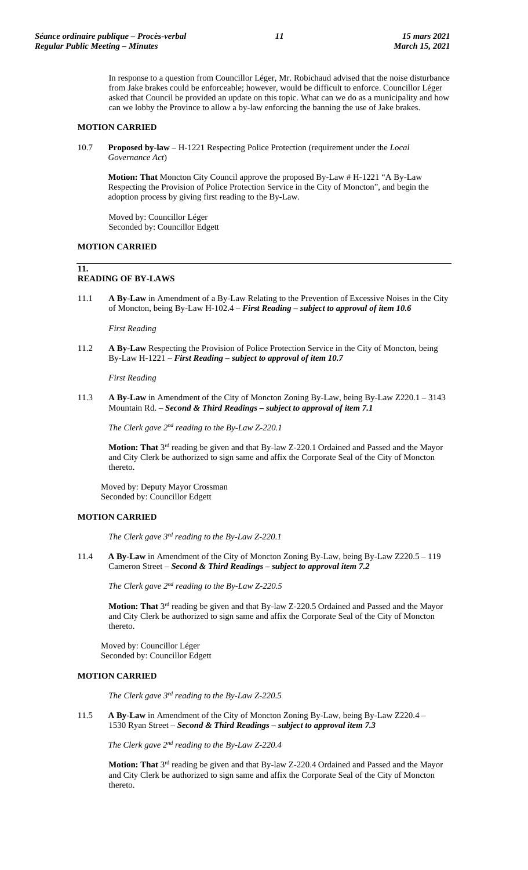In response to a question from Councillor Léger, Mr. Robichaud advised that the noise disturbance from Jake brakes could be enforceable; however, would be difficult to enforce. Councillor Léger asked that Council be provided an update on this topic. What can we do as a municipality and how can we lobby the Province to allow a by-law enforcing the banning the use of Jake brakes.

#### **MOTION CARRIED**

10.7 **Proposed by-law** – H-1221 Respecting Police Protection (requirement under the *Local Governance Act*)

**Motion: That** Moncton City Council approve the proposed By-Law # H-1221 "A By-Law Respecting the Provision of Police Protection Service in the City of Moncton", and begin the adoption process by giving first reading to the By-Law.

Moved by: Councillor Léger Seconded by: Councillor Edgett

# **MOTION CARRIED**

**11.**

# **READING OF BY-LAWS**

11.1 **A By-Law** in Amendment of a By-Law Relating to the Prevention of Excessive Noises in the City of Moncton, being By-Law H-102.4 – *First Reading – subject to approval of item 10.6*

*First Reading*

11.2 **A By-Law** Respecting the Provision of Police Protection Service in the City of Moncton, being By-Law H-1221 – *First Reading – subject to approval of item 10.7*

*First Reading*

11.3 **A By-Law** in Amendment of the City of Moncton Zoning By-Law, being By-Law Z220.1 – 3143 Mountain Rd. – *Second & Third Readings – subject to approval of item 7.1*

*The Clerk gave 2nd reading to the By-Law Z-220.1*

**Motion: That** 3rd reading be given and that By-law Z-220.1 Ordained and Passed and the Mayor and City Clerk be authorized to sign same and affix the Corporate Seal of the City of Moncton thereto.

Moved by: Deputy Mayor Crossman Seconded by: Councillor Edgett

# **MOTION CARRIED**

*The Clerk gave 3rd reading to the By-Law Z-220.1*

11.4 **A By-Law** in Amendment of the City of Moncton Zoning By-Law, being By-Law Z220.5 – 119 Cameron Street – *Second & Third Readings – subject to approval item 7.2*

*The Clerk gave 2nd reading to the By-Law Z-220.5*

Motion: That 3<sup>rd</sup> reading be given and that By-law Z-220.5 Ordained and Passed and the Mayor and City Clerk be authorized to sign same and affix the Corporate Seal of the City of Moncton thereto.

Moved by: Councillor Léger Seconded by: Councillor Edgett

#### **MOTION CARRIED**

*The Clerk gave 3rd reading to the By-Law Z-220.5*

11.5 **A By-Law** in Amendment of the City of Moncton Zoning By-Law, being By-Law Z220.4 – 1530 Ryan Street – *Second & Third Readings – subject to approval item 7.3*

*The Clerk gave 2nd reading to the By-Law Z-220.4*

**Motion: That** 3rd reading be given and that By-law Z-220.4 Ordained and Passed and the Mayor and City Clerk be authorized to sign same and affix the Corporate Seal of the City of Moncton thereto.